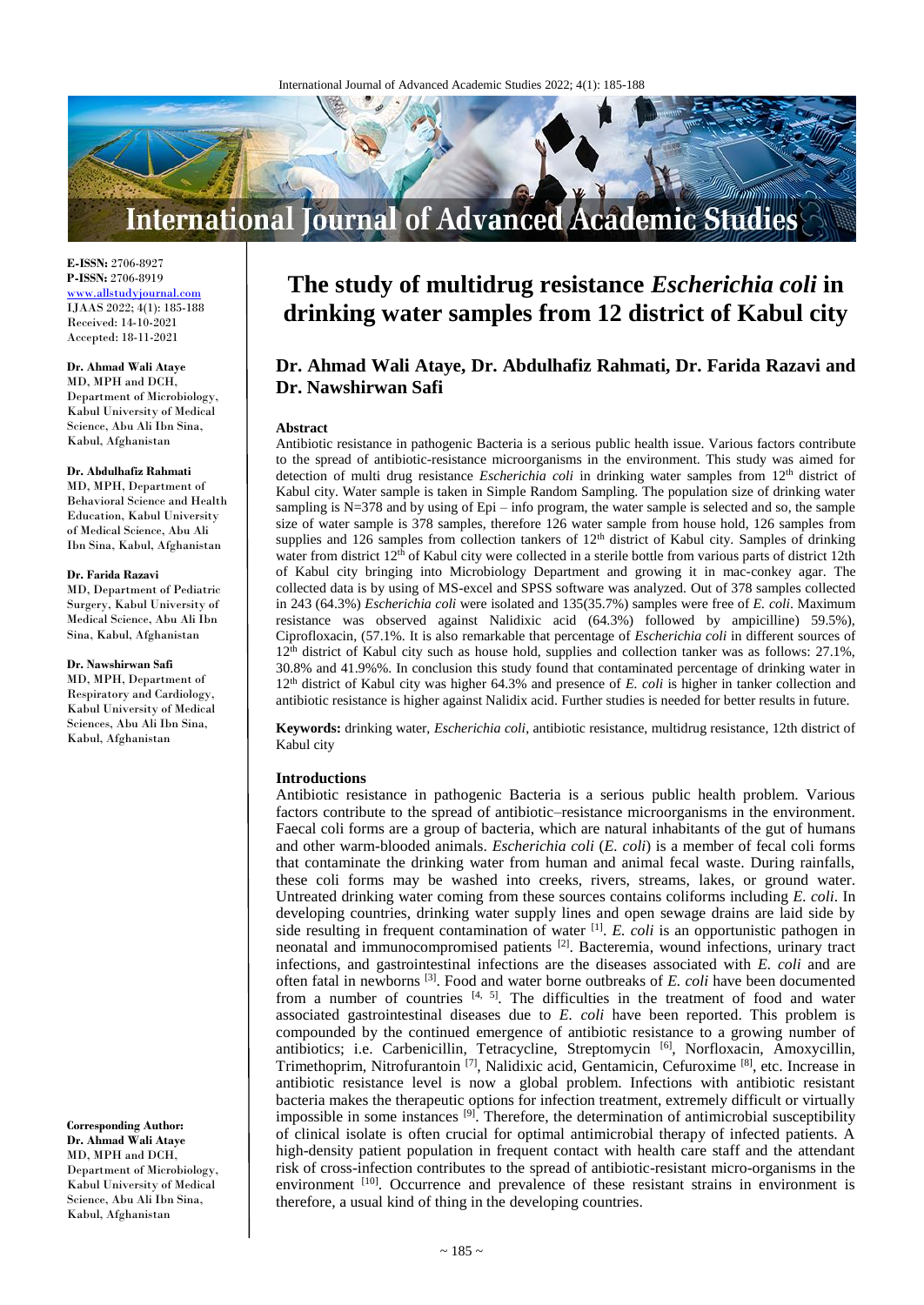

**E-ISSN:** 2706-8927 **P-ISSN:** 2706-8919 <www.allstudyjournal.com> IJAAS 2022; 4(1): 185-188 Received: 14-10-2021 Accepted: 18-11-2021

#### **Dr. Ahmad Wali Ataye**

MD, MPH and DCH, Department of Microbiology, Kabul University of Medical Science, Abu Ali Ibn Sina, Kabul, Afghanistan

#### **Dr. Abdulhafiz Rahmati**

MD, MPH, Department of Behavioral Science and Health Education, Kabul University of Medical Science, Abu Ali Ibn Sina, Kabul, Afghanistan

#### **Dr. Farida Razavi**

MD, Department of Pediatric Surgery, Kabul University of Medical Science, Abu Ali Ibn Sina, Kabul, Afghanistan

#### **Dr. Nawshirwan Safi**

MD, MPH, Department of Respiratory and Cardiology, Kabul University of Medical Sciences, Abu Ali Ibn Sina, Kabul, Afghanistan

**Corresponding Author: Dr. Ahmad Wali Ataye** MD, MPH and DCH, Department of Microbiology, Kabul University of Medical Science, Abu Ali Ibn Sina, Kabul, Afghanistan

# **The study of multidrug resistance** *Escherichia coli* **in drinking water samples from 12 district of Kabul city**

## **Dr. Ahmad Wali Ataye, Dr. Abdulhafiz Rahmati, Dr. Farida Razavi and Dr. Nawshirwan Safi**

#### **Abstract**

Antibiotic resistance in pathogenic Bacteria is a serious public health issue. Various factors contribute to the spread of antibiotic-resistance microorganisms in the environment. This study was aimed for detection of multi drug resistance *Escherichia coli* in drinking water samples from 12<sup>th</sup> district of Kabul city. Water sample is taken in Simple Random Sampling. The population size of drinking water sampling is N=378 and by using of Epi – info program, the water sample is selected and so, the sample size of water sample is 378 samples, therefore 126 water sample from house hold, 126 samples from supplies and 126 samples from collection tankers of 12<sup>th</sup> district of Kabul city. Samples of drinking water from district 12<sup>th</sup> of Kabul city were collected in a sterile bottle from various parts of district 12th of Kabul city bringing into Microbiology Department and growing it in mac-conkey agar. The collected data is by using of MS-excel and SPSS software was analyzed. Out of 378 samples collected in 243 (64.3%) *Escherichia coli* were isolated and 135(35.7%) samples were free of *E. coli*. Maximum resistance was observed against Nalidixic acid (64.3%) followed by ampicilline) 59.5%), Ciprofloxacin, (57.1%. It is also remarkable that percentage of *Escherichia coli* in different sources of 12<sup>th</sup> district of Kabul city such as house hold, supplies and collection tanker was as follows: 27.1%, 30.8% and 41.9%%. In conclusion this study found that contaminated percentage of drinking water in 12th district of Kabul city was higher 64.3% and presence of *E. coli* is higher in tanker collection and antibiotic resistance is higher against Nalidix acid. Further studies is needed for better results in future.

**Keywords:** drinking water, *Escherichia coli*, antibiotic resistance, multidrug resistance, 12th district of Kabul city

#### **Introductions**

Antibiotic resistance in pathogenic Bacteria is a serious public health problem. Various factors contribute to the spread of antibiotic–resistance microorganisms in the environment. Faecal coli forms are a group of bacteria, which are natural inhabitants of the gut of humans and other warm-blooded animals. *Escherichia coli* (*E. coli*) is a member of fecal coli forms that contaminate the drinking water from human and animal fecal waste. During rainfalls, these coli forms may be washed into creeks, rivers, streams, lakes, or ground water. Untreated drinking water coming from these sources contains coliforms including *E. coli*. In developing countries, drinking water supply lines and open sewage drains are laid side by side resulting in frequent contamination of water  $[1]$ . *E. coli* is an opportunistic pathogen in neonatal and immunocompromised patients<sup>[2]</sup>. Bacteremia, wound infections, urinary tract infections, and gastrointestinal infections are the diseases associated with *E. coli* and are often fatal in newborns [3] . Food and water borne outbreaks of *E. coli* have been documented from a number of countries  $[4, 5]$ . The difficulties in the treatment of food and water associated gastrointestinal diseases due to *E. coli* have been reported. This problem is compounded by the continued emergence of antibiotic resistance to a growing number of antibiotics; i.e. Carbenicillin, Tetracycline, Streptomycin<sup>[6]</sup>, Norfloxacin, Amoxycillin, Trimethoprim, Nitrofurantoin<sup>[7]</sup>, Nalidixic acid, Gentamicin, Cefuroxime<sup>[8]</sup>, etc. Increase in antibiotic resistance level is now a global problem. Infections with antibiotic resistant bacteria makes the therapeutic options for infection treatment, extremely difficult or virtually impossible in some instances <sup>[9]</sup>. Therefore, the determination of antimicrobial susceptibility of clinical isolate is often crucial for optimal antimicrobial therapy of infected patients. A high-density patient population in frequent contact with health care staff and the attendant risk of cross-infection contributes to the spread of antibiotic-resistant micro-organisms in the environment [10]. Occurrence and prevalence of these resistant strains in environment is therefore, a usual kind of thing in the developing countries.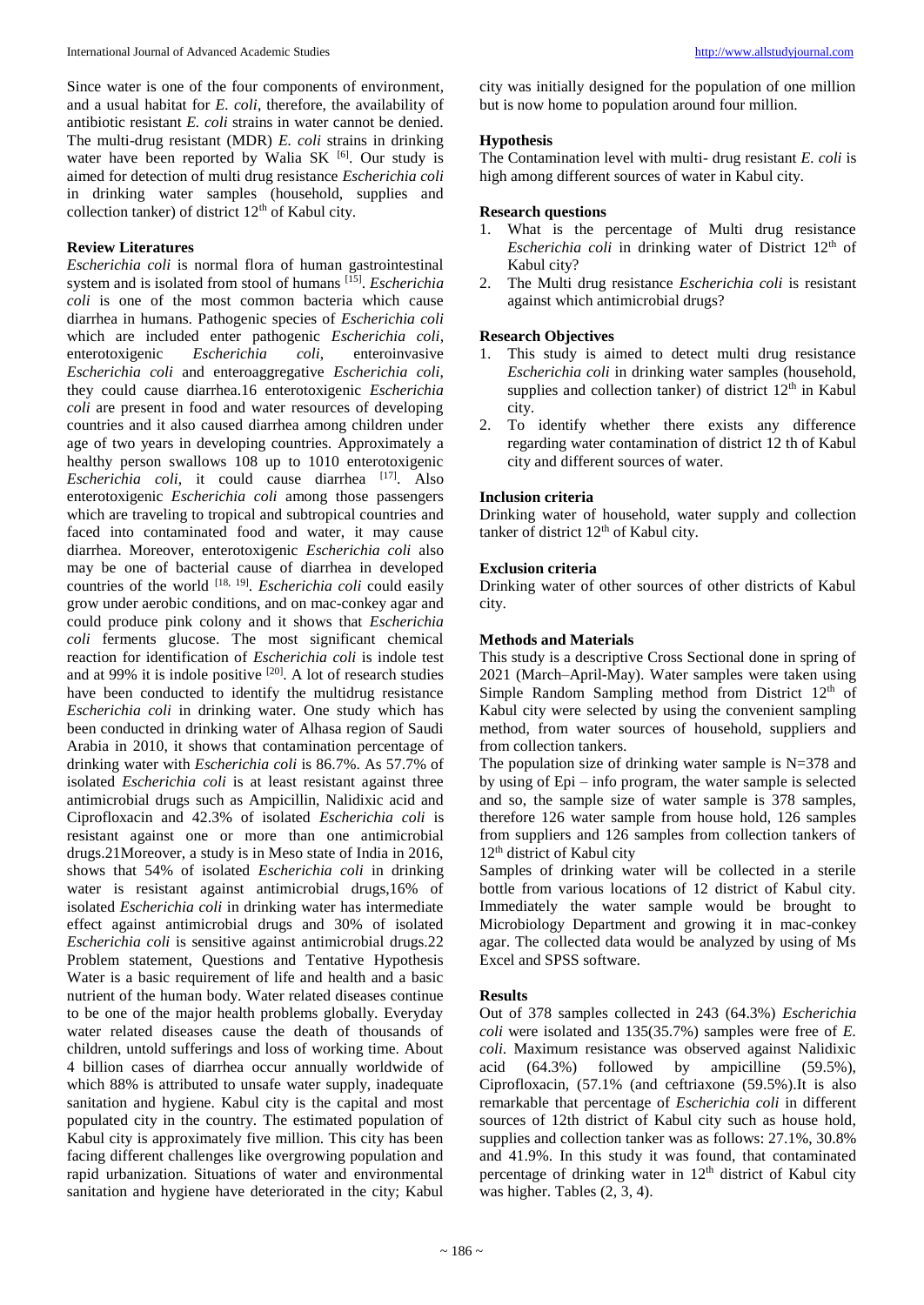#### **Review Literatures**

*Escherichia coli* is normal flora of human gastrointestinal system and is isolated from stool of humans [15] . *Escherichia coli* is one of the most common bacteria which cause diarrhea in humans. Pathogenic species of *Escherichia coli* which are included enter pathogenic *Escherichia coli*, enterotoxigenic *Escherichia coli*, enteroinvasive *Escherichia coli* and enteroaggregative *Escherichia coli*, they could cause diarrhea.16 enterotoxigenic *Escherichia coli* are present in food and water resources of developing countries and it also caused diarrhea among children under age of two years in developing countries. Approximately a healthy person swallows 108 up to 1010 enterotoxigenic Escherichia coli, it could cause diarrhea <sup>[17]</sup>. Also enterotoxigenic *Escherichia coli* among those passengers which are traveling to tropical and subtropical countries and faced into contaminated food and water, it may cause diarrhea. Moreover, enterotoxigenic *Escherichia coli* also may be one of bacterial cause of diarrhea in developed countries of the world [18, 19] . *Escherichia coli* could easily grow under aerobic conditions, and on mac-conkey agar and could produce pink colony and it shows that *Escherichia coli* ferments glucose. The most significant chemical reaction for identification of *Escherichia coli* is indole test and at 99% it is indole positive  $[20]$ . A lot of research studies have been conducted to identify the multidrug resistance *Escherichia coli* in drinking water. One study which has been conducted in drinking water of Alhasa region of Saudi Arabia in 2010, it shows that contamination percentage of drinking water with *Escherichia coli* is 86.7%. As 57.7% of isolated *Escherichia coli* is at least resistant against three antimicrobial drugs such as Ampicillin, Nalidixic acid and Ciprofloxacin and 42.3% of isolated *Escherichia coli* is resistant against one or more than one antimicrobial drugs.21Moreover, a study is in Meso state of India in 2016, shows that 54% of isolated *Escherichia coli* in drinking water is resistant against antimicrobial drugs,16% of isolated *Escherichia coli* in drinking water has intermediate effect against antimicrobial drugs and 30% of isolated *Escherichia coli* is sensitive against antimicrobial drugs.22 Problem statement, Questions and Tentative Hypothesis Water is a basic requirement of life and health and a basic nutrient of the human body. Water related diseases continue to be one of the major health problems globally. Everyday water related diseases cause the death of thousands of children, untold sufferings and loss of working time. About 4 billion cases of diarrhea occur annually worldwide of which 88% is attributed to unsafe water supply, inadequate sanitation and hygiene. Kabul city is the capital and most populated city in the country. The estimated population of Kabul city is approximately five million. This city has been facing different challenges like overgrowing population and rapid urbanization. Situations of water and environmental sanitation and hygiene have deteriorated in the city; Kabul

city was initially designed for the population of one million but is now home to population around four million.

## **Hypothesis**

The Contamination level with multi- drug resistant *E. coli* is high among different sources of water in Kabul city.

## **Research questions**

- 1. What is the percentage of Multi drug resistance *Escherichia coli* in drinking water of District 12<sup>th</sup> of Kabul city?
- 2. The Multi drug resistance *Escherichia coli* is resistant against which antimicrobial drugs?

## **Research Objectives**

- 1. This study is aimed to detect multi drug resistance *Escherichia coli* in drinking water samples (household, supplies and collection tanker) of district  $12<sup>th</sup>$  in Kabul city.
- 2. To identify whether there exists any difference regarding water contamination of district 12 th of Kabul city and different sources of water.

## **Inclusion criteria**

Drinking water of household, water supply and collection tanker of district 12<sup>th</sup> of Kabul city.

## **Exclusion criteria**

Drinking water of other sources of other districts of Kabul city.

## **Methods and Materials**

This study is a descriptive Cross Sectional done in spring of 2021 (March–April-May). Water samples were taken using Simple Random Sampling method from District  $12<sup>th</sup>$  of Kabul city were selected by using the convenient sampling method, from water sources of household, suppliers and from collection tankers.

The population size of drinking water sample is  $N=378$  and by using of Epi – info program, the water sample is selected and so, the sample size of water sample is 378 samples, therefore 126 water sample from house hold, 126 samples from suppliers and 126 samples from collection tankers of 12<sup>th</sup> district of Kabul city

Samples of drinking water will be collected in a sterile bottle from various locations of 12 district of Kabul city. Immediately the water sample would be brought to Microbiology Department and growing it in mac-conkey agar. The collected data would be analyzed by using of Ms Excel and SPSS software.

## **Results**

Out of 378 samples collected in 243 (64.3%) *Escherichia coli* were isolated and 135(35.7%) samples were free of *E. coli*. Maximum resistance was observed against Nalidixic acid (64.3%) followed by ampicilline (59.5%), Ciprofloxacin, (57.1% (and ceftriaxone (59.5%).It is also remarkable that percentage of *Escherichia coli* in different sources of 12th district of Kabul city such as house hold, supplies and collection tanker was as follows: 27.1%, 30.8% and 41.9%. In this study it was found, that contaminated percentage of drinking water in  $12<sup>th</sup>$  district of Kabul city was higher. Tables (2, 3, 4).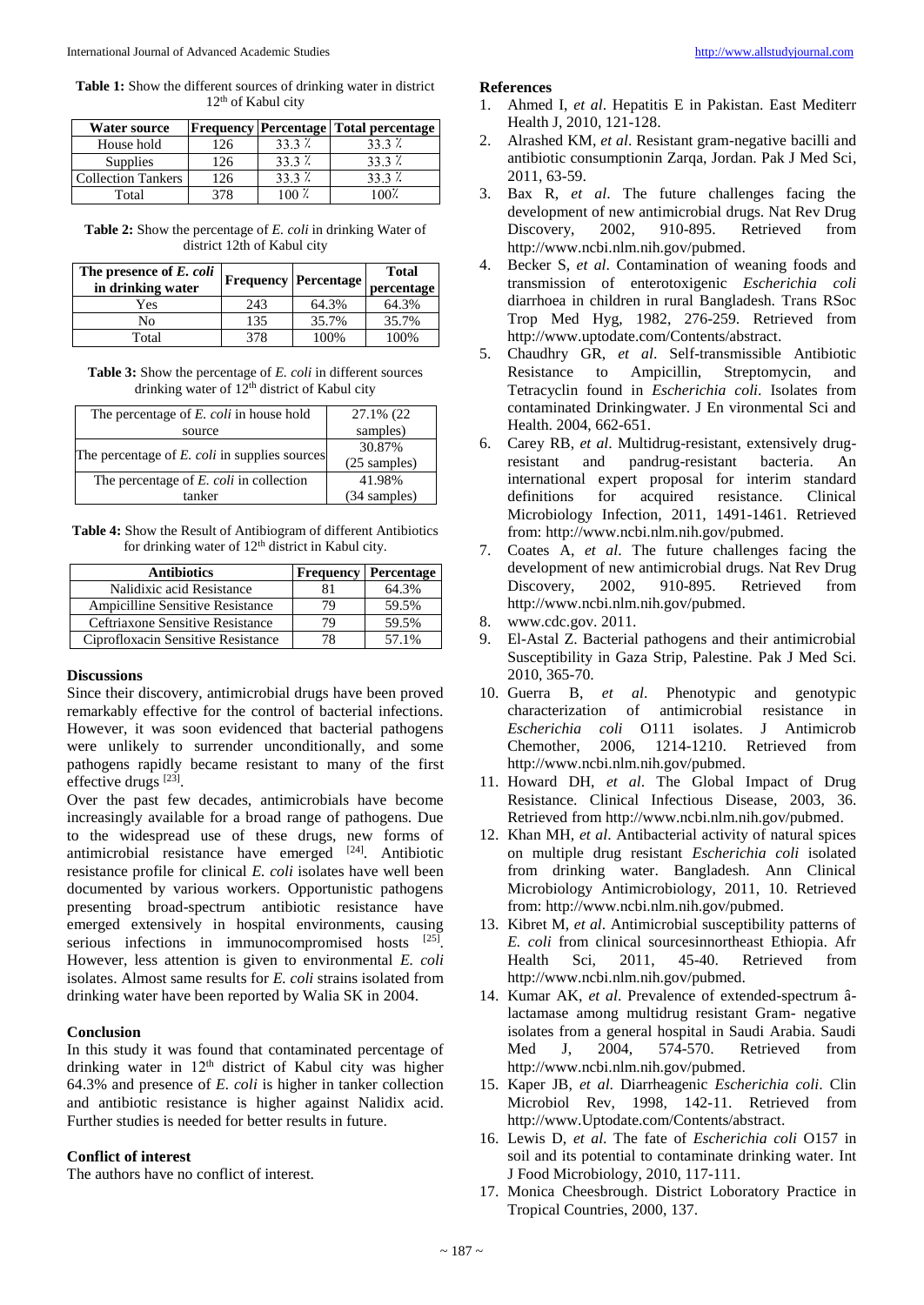**Table 1:** Show the different sources of drinking water in district 12<sup>th</sup> of Kabul city

| <b>Water source</b>       |     |          | <b>Frequency Percentage Total percentage</b> |
|---------------------------|-----|----------|----------------------------------------------|
| House hold                | 126 | $33.3\%$ | 33.3 <sup>2</sup>                            |
| Supplies                  | 126 | $33.3\%$ | $33.3\%$                                     |
| <b>Collection Tankers</b> | 126 | $33.3\%$ | $33.3\%$                                     |
| Total                     |     |          |                                              |

**Table 2:** Show the percentage of *E. coli* in drinking Water of district 12th of Kabul city

| The presence of E. coli<br>in drinking water |     | Frequency   Percentage | <b>Total</b><br>percentage |
|----------------------------------------------|-----|------------------------|----------------------------|
| Yes                                          | 243 | 64.3%                  | 64.3%                      |
| No                                           | 135 | 35.7%                  | 35.7%                      |
| Total                                        | 378 | 100%                   | 100%                       |

**Table 3:** Show the percentage of *E. coli* in different sources drinking water of  $12<sup>th</sup>$  district of Kabul city

| The percentage of E. coli in house hold       | 27.1% (22)     |
|-----------------------------------------------|----------------|
| source                                        | samples)       |
| The percentage of E. coli in supplies sources | 30.87%         |
|                                               | (25 samples)   |
| The percentage of E. coli in collection       | 41.98%         |
| tanker                                        | $(34$ samples) |

**Table 4:** Show the Result of Antibiogram of different Antibiotics for drinking water of  $12<sup>th</sup>$  district in Kabul city.

| <b>Antibiotics</b>                      |    | <b>Frequency Percentage</b> |
|-----------------------------------------|----|-----------------------------|
| Nalidixic acid Resistance               | 81 | 64.3%                       |
| <b>Ampicilline Sensitive Resistance</b> | 79 | 59.5%                       |
| Ceftriaxone Sensitive Resistance        | 79 | 59.5%                       |
| Ciprofloxacin Sensitive Resistance      | 78 | 57.1%                       |

#### **Discussions**

Since their discovery, antimicrobial drugs have been proved remarkably effective for the control of bacterial infections. However, it was soon evidenced that bacterial pathogens were unlikely to surrender unconditionally, and some pathogens rapidly became resistant to many of the first effective drugs [23].

Over the past few decades, antimicrobials have become increasingly available for a broad range of pathogens. Due to the widespread use of these drugs, new forms of antimicrobial resistance have emerged [24]. Antibiotic resistance profile for clinical *E. coli* isolates have well been documented by various workers. Opportunistic pathogens presenting broad-spectrum antibiotic resistance have emerged extensively in hospital environments, causing serious infections in immunocompromised hosts [25]. However, less attention is given to environmental *E. coli* isolates. Almost same results for *E. coli* strains isolated from drinking water have been reported by Walia SK in 2004.

#### **Conclusion**

In this study it was found that contaminated percentage of drinking water in  $12<sup>th</sup>$  district of Kabul city was higher 64.3% and presence of *E. coli* is higher in tanker collection and antibiotic resistance is higher against Nalidix acid. Further studies is needed for better results in future.

#### **Conflict of interest**

The authors have no conflict of interest.

#### **References**

- 1. Ahmed I, *et al*. Hepatitis E in Pakistan. East Mediterr Health J, 2010, 121-128.
- 2. Alrashed KM, *et al*. Resistant gram-negative bacilli and antibiotic consumptionin Zarqa, Jordan. Pak J Med Sci, 2011, 63-59.
- 3. Bax R, *et al*. The future challenges facing the development of new antimicrobial drugs. Nat Rev Drug Discovery, 2002, 910-895. Retrieved from http://www.ncbi.nlm.nih.gov/pubmed.
- 4. Becker S, *et al*. Contamination of weaning foods and transmission of enterotoxigenic *Escherichia coli* diarrhoea in children in rural Bangladesh. Trans RSoc Trop Med Hyg, 1982, 276-259. Retrieved from http://www.uptodate.com/Contents/abstract.
- 5. Chaudhry GR, *et al*. Self-transmissible Antibiotic Resistance to Ampicillin, Streptomycin, and Tetracyclin found in *Escherichia coli*. Isolates from contaminated Drinkingwater. J En vironmental Sci and Health. 2004, 662-651.
- 6. Carey RB, *et al*. Multidrug-resistant, extensively drugresistant and pandrug-resistant bacteria. An international expert proposal for interim standard definitions for acquired resistance. Clinical Microbiology Infection, 2011, 1491-1461. Retrieved from: http://www.ncbi.nlm.nih.gov/pubmed.
- 7. Coates A, *et al*. The future challenges facing the development of new antimicrobial drugs. Nat Rev Drug Discovery, 2002, 910-895. Retrieved from http://www.ncbi.nlm.nih.gov/pubmed.
- 8. www.cdc.gov. 2011.
- 9. El-Astal Z. Bacterial pathogens and their antimicrobial Susceptibility in Gaza Strip, Palestine. Pak J Med Sci. 2010, 365-70.
- 10. Guerra B, *et al*. Phenotypic and genotypic characterization of antimicrobial resistance in *Escherichia coli* O111 isolates. J Antimicrob Chemother, 2006, 1214-1210. Retrieved from http://www.ncbi.nlm.nih.gov/pubmed.
- 11. Howard DH, *et al*. The Global Impact of Drug Resistance. Clinical Infectious Disease, 2003, 36. Retrieved from http://www.ncbi.nlm.nih.gov/pubmed.
- 12. Khan MH, *et al*. Antibacterial activity of natural spices on multiple drug resistant *Escherichia coli* isolated from drinking water. Bangladesh. Ann Clinical Microbiology Antimicrobiology, 2011, 10. Retrieved from: http://www.ncbi.nlm.nih.gov/pubmed.
- 13. Kibret M, *et al*. Antimicrobial susceptibility patterns of *E. coli* from clinical sourcesinnortheast Ethiopia. Afr Health Sci, 2011, 45-40. Retrieved from http://www.ncbi.nlm.nih.gov/pubmed.
- 14. Kumar AK, *et al*. Prevalence of extended-spectrum âlactamase among multidrug resistant Gram- negative isolates from a general hospital in Saudi Arabia. Saudi Med J, 2004, 574-570. Retrieved from http://www.ncbi.nlm.nih.gov/pubmed.
- 15. Kaper JB, *et al*. Diarrheagenic *Escherichia coli*. Clin Microbiol Rev, 1998, 142-11. Retrieved from http://www.Uptodate.com/Contents/abstract.
- 16. Lewis D, *et al*. The fate of *Escherichia coli* O157 in soil and its potential to contaminate drinking water. Int J Food Microbiology, 2010, 117-111.
- 17. Monica Cheesbrough. District Loboratory Practice in Tropical Countries, 2000, 137.